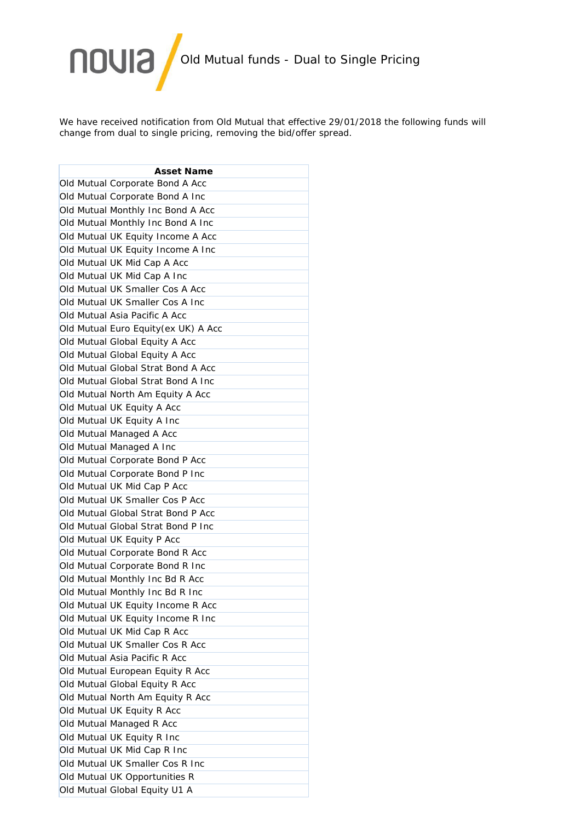

We have received notification from Old Mutual that effective 29/01/2018 the following funds will change from dual to single pricing, removing the bid/offer spread.

| <b>Asset Name</b> |                                      |
|-------------------|--------------------------------------|
|                   | Old Mutual Corporate Bond A Acc      |
|                   | Old Mutual Corporate Bond A Inc      |
|                   | Old Mutual Monthly Inc Bond A Acc    |
|                   | Old Mutual Monthly Inc Bond A Inc    |
|                   | Old Mutual UK Equity Income A Acc    |
|                   | Old Mutual UK Equity Income A Inc    |
|                   | Old Mutual UK Mid Cap A Acc          |
|                   | Old Mutual UK Mid Cap A Inc          |
|                   | Old Mutual UK Smaller Cos A Acc      |
|                   | Old Mutual UK Smaller Cos A Inc      |
|                   | Old Mutual Asia Pacific A Acc        |
|                   | Old Mutual Euro Equity (ex UK) A Acc |
|                   | Old Mutual Global Equity A Acc       |
|                   | Old Mutual Global Equity A Acc       |
|                   | Old Mutual Global Strat Bond A Acc   |
|                   | Old Mutual Global Strat Bond A Inc   |
|                   | Old Mutual North Am Equity A Acc     |
|                   | Old Mutual UK Equity A Acc           |
|                   | Old Mutual UK Equity A Inc           |
|                   | Old Mutual Managed A Acc             |
|                   | Old Mutual Managed A Inc             |
|                   | Old Mutual Corporate Bond P Acc      |
|                   | Old Mutual Corporate Bond P Inc      |
|                   | Old Mutual UK Mid Cap P Acc          |
|                   | Old Mutual UK Smaller Cos P Acc      |
|                   | Old Mutual Global Strat Bond P Acc   |
|                   | Old Mutual Global Strat Bond P Inc   |
|                   | Old Mutual UK Equity P Acc           |
|                   | Old Mutual Corporate Bond R Acc      |
|                   | Old Mutual Corporate Bond R Inc      |
|                   | Old Mutual Monthly Inc Bd R Acc      |
|                   | Old Mutual Monthly Inc Bd R Inc      |
|                   | Old Mutual UK Equity Income R Acc    |
|                   | Old Mutual UK Equity Income R Inc    |
|                   | Old Mutual UK Mid Cap R Acc          |
|                   | Old Mutual UK Smaller Cos R Acc      |
|                   | Old Mutual Asia Pacific R Acc        |
|                   | Old Mutual European Equity R Acc     |
|                   | Old Mutual Global Equity R Acc       |
|                   | Old Mutual North Am Equity R Acc     |
|                   | Old Mutual UK Equity R Acc           |
|                   | Old Mutual Managed R Acc             |
|                   | Old Mutual UK Equity R Inc           |
|                   | Old Mutual UK Mid Cap R Inc          |
|                   | Old Mutual UK Smaller Cos R Inc      |
|                   | Old Mutual UK Opportunities R        |
|                   | Old Mutual Global Equity U1 A        |